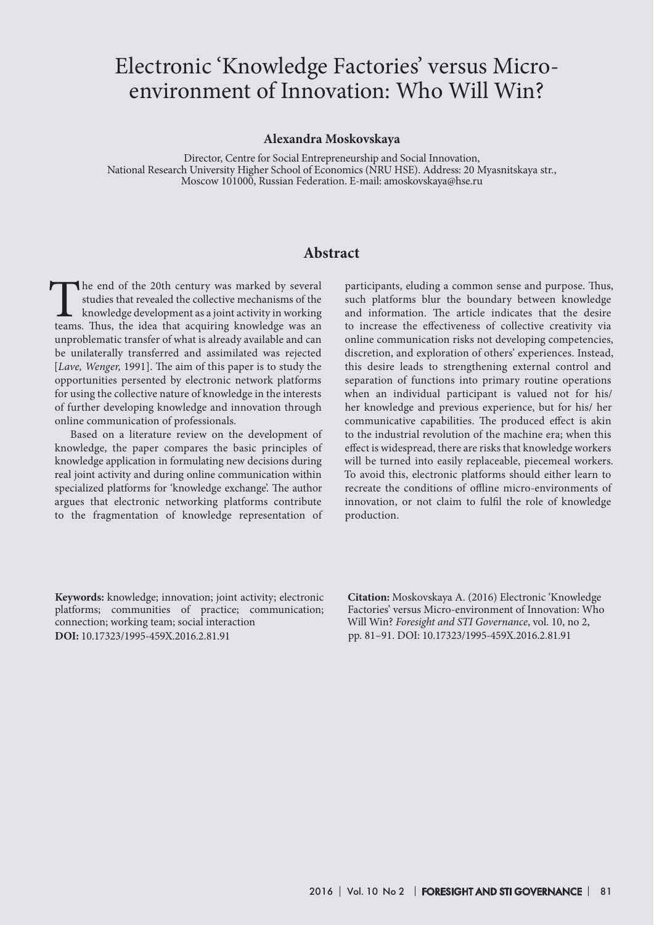# Electronic 'Knowledge Factories' versus Microenvironment of Innovation: Who Will Win?

#### **Alexandra Moskovskaya**

Director, Centre for Social Entrepreneurship and Social Innovation, National Research University Higher School of Economics (NRU HSE). Аddress: 20 Myasnitskaya str., Moscow 101000, Russian Federation. E-mail: amoskovskaya@hse.ru

## **Abstract**

The end of the 20th century was marked by several studies that revealed the collective mechanisms of the knowledge development as a joint activity in working teams. Thus, the idea that acquiring knowledge was an studies that revealed the collective mechanisms of the knowledge development as a joint activity in working teams. Thus, the idea that acquiring knowledge was an unproblematic transfer of what is already available and can be unilaterally transferred and assimilated was rejected [*Lave, Wenger,* 1991]. The aim of this paper is to study the opportunities persented by electronic network platforms for using the collective nature of knowledge in the interests of further developing knowledge and innovation through online communication of professionals.

Based on a literature review on the development of knowledge, the paper compares the basic principles of knowledge application in formulating new decisions during real joint activity and during online communication within specialized platforms for 'knowledge exchange'. The author argues that electronic networking platforms contribute to the fragmentation of knowledge representation of

participants, eluding a common sense and purpose. Thus, such platforms blur the boundary between knowledge and information. The article indicates that the desire to increase the effectiveness of collective creativity via online communication risks not developing competencies, discretion, and exploration of others' experiences. Instead, this desire leads to strengthening external control and separation of functions into primary routine operations when an individual participant is valued not for his/ her knowledge and previous experience, but for his/ her communicative capabilities. The produced effect is akin to the industrial revolution of the machine era; when this effect is widespread, there are risks that knowledge workers will be turned into easily replaceable, piecemeal workers. To avoid this, electronic platforms should either learn to recreate the conditions of offline micro-environments of innovation, or not claim to fulfil the role of knowledge production.

**DOI:** 10.17323/1995-459X.2016.2.81.91 **Keywords:** knowledge; innovation; joint activity; electronic platforms; communities of practice; communication; connection; working team; social interaction

**Citation:** Moskovskaya A. (2016) Electronic 'Knowledge Factories' versus Micro-environment of Innovation: Who Will Win? *Foresight and STI Governance*, vol. 10, no 2, pp. 81–91. DOI: 10.17323/1995-459X.2016.2.81.91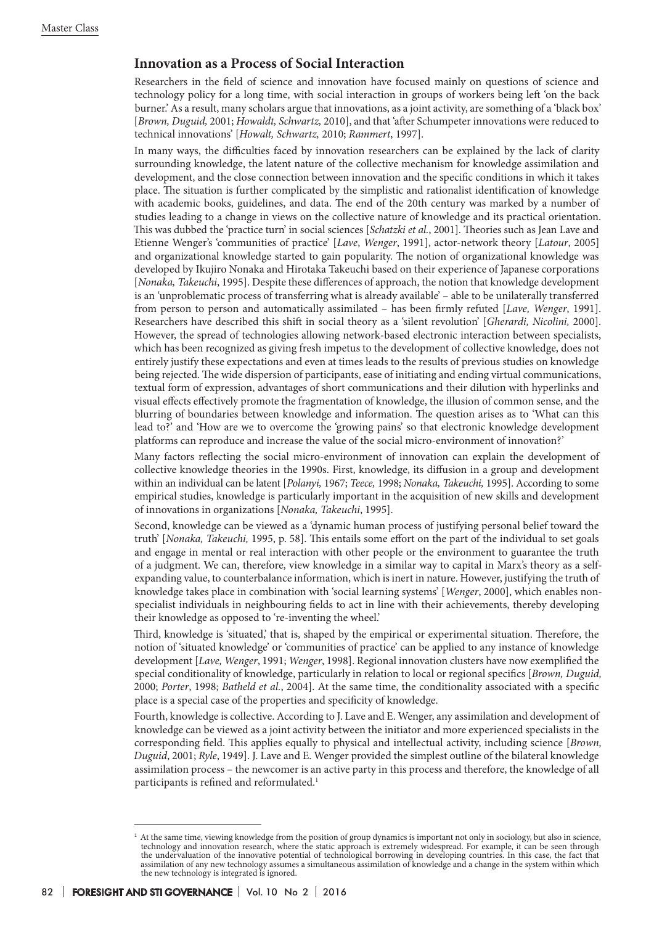### **Innovation as a Process of Social Interaction**

Researchers in the field of science and innovation have focused mainly on questions of science and technology policy for a long time, with social interaction in groups of workers being left 'on the back burner.' As a result, many scholars argue that innovations, as a joint activity, are something of a 'black box' [*Brown, Duguid,* 2001; *Howaldt, Schwartz,* 2010], and that 'after Schumpeter innovations were reduced to technical innovations' [*Howalt, Schwartz,* 2010; *Rammert*, 1997].

In many ways, the difficulties faced by innovation researchers can be explained by the lack of clarity surrounding knowledge, the latent nature of the collective mechanism for knowledge assimilation and development, and the close connection between innovation and the specific conditions in which it takes place. The situation is further complicated by the simplistic and rationalist identification of knowledge with academic books, guidelines, and data. The end of the 20th century was marked by a number of studies leading to a change in views on the collective nature of knowledge and its practical orientation. This was dubbed the 'practice turn' in social sciences [*Schatzki et al.*, 2001]. Theories such as Jean Lave and Etienne Wenger's 'communities of practice' [*Lave*, *Wenger*, 1991], actor-network theory [*Latour*, 2005] and organizational knowledge started to gain popularity. The notion of organizational knowledge was developed by Ikujiro Nonaka and Hirotaka Takeuchi based on their experience of Japanese corporations [*Nonaka, Takeuchi*, 1995]. Despite these differences of approach, the notion that knowledge development is an 'unproblematic process of transferring what is already available' – able to be unilaterally transferred from person to person and automatically assimilated – has been firmly refuted [*Lave, Wenger*, 1991]. Researchers have described this shift in social theory as a 'silent revolution' [*Gherardi, Nicolini,* 2000]. However, the spread of technologies allowing network-based electronic interaction between specialists, which has been recognized as giving fresh impetus to the development of collective knowledge, does not entirely justify these expectations and even at times leads to the results of previous studies on knowledge being rejected. The wide dispersion of participants, ease of initiating and ending virtual communications, textual form of expression, advantages of short communications and their dilution with hyperlinks and visual effects effectively promote the fragmentation of knowledge, the illusion of common sense, and the blurring of boundaries between knowledge and information. The question arises as to 'What can this lead to?' and 'How are we to overcome the 'growing pains' so that electronic knowledge development platforms can reproduce and increase the value of the social micro-environment of innovation?'

Many factors reflecting the social micro-environment of innovation can explain the development of collective knowledge theories in the 1990s. First, knowledge, its diffusion in a group and development within an individual can be latent [*Polanyi,* 1967; *Teece,* 1998; *Nonaka, Takeuchi,* 1995]. According to some empirical studies, knowledge is particularly important in the acquisition of new skills and development of innovations in organizations [*Nonaka, Takeuchi*, 1995].

Second, knowledge can be viewed as a 'dynamic human process of justifying personal belief toward the truth' [*Nonaka, Takeuchi,* 1995, p. 58]. This entails some effort on the part of the individual to set goals and engage in mental or real interaction with other people or the environment to guarantee the truth of a judgment. We can, therefore, view knowledge in a similar way to capital in Marx's theory as a selfexpanding value, to counterbalance information, which is inert in nature. However, justifying the truth of knowledge takes place in combination with 'social learning systems' [*Wenger*, 2000], which enables nonspecialist individuals in neighbouring fields to act in line with their achievements, thereby developing their knowledge as opposed to 're-inventing the wheel.'

Third, knowledge is 'situated,' that is, shaped by the empirical or experimental situation. Therefore, the notion of 'situated knowledge' or 'communities of practice' can be applied to any instance of knowledge development [*Lave, Wenger*, 1991; *Wenger*, 1998]. Regional innovation clusters have now exemplified the special conditionality of knowledge, particularly in relation to local or regional specifics [*Brown, Duguid,* 2000; *Porter*, 1998; *Batheld et al.*, 2004]. At the same time, the conditionality associated with a specific place is a special case of the properties and specificity of knowledge.

Fourth, knowledge is collective. According to J. Lave and E. Wenger, any assimilation and development of knowledge can be viewed as a joint activity between the initiator and more experienced specialists in the corresponding field. This applies equally to physical and intellectual activity, including science [*Brown, Duguid*, 2001; *Ryle*, 1949]. J. Lave and E. Wenger provided the simplest outline of the bilateral knowledge assimilation process – the newcomer is an active party in this process and therefore, the knowledge of all participants is refined and reformulated.<sup>1</sup>

<sup>&</sup>lt;sup>1</sup> At the same time, viewing knowledge from the position of group dynamics is important not only in sociology, but also in science, technology and innovation research, where the static approach is extremely widespread. For example, it can be seen through the undervaluation of the innovative potential of technological borrowing in developing countries. In this case, the fact that assimilation of any new technology assumes a simultaneous assimilation of knowledge and a change in the system within which the new technology is integrated is ignored.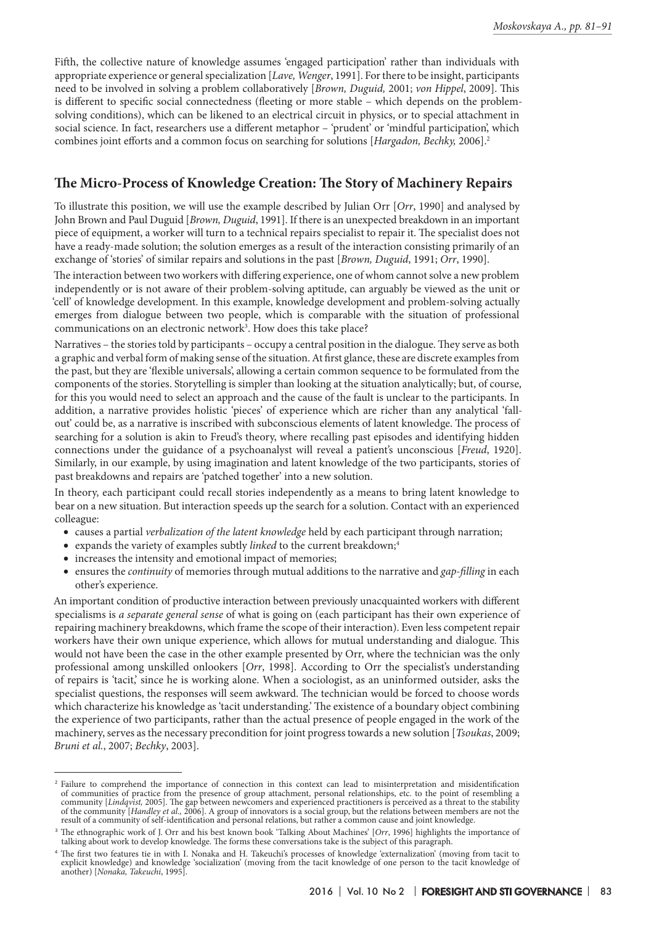Fifth, the collective nature of knowledge assumes 'engaged participation' rather than individuals with appropriate experience or general specialization [*Lave, Wenger*, 1991]. For there to be insight, participants need to be involved in solving a problem collaboratively [*Brown, Duguid,* 2001; *von Hippel*, 2009]. This is different to specific social connectedness (fleeting or more stable – which depends on the problemsolving conditions), which can be likened to an electrical circuit in physics, or to special attachment in social science. In fact, researchers use a different metaphor – 'prudent' or 'mindful participation', which combines joint efforts and a common focus on searching for solutions [*Hargadon, Bechky,* 2006].2

# **The Micro-Process of Knowledge Creation: The Story of Machinery Repairs**

To illustrate this position, we will use the example described by Julian Orr [*Orr*, 1990] and analysed by John Brown and Paul Duguid [*Brown, Duguid*, 1991]. If there is an unexpected breakdown in an important piece of equipment, a worker will turn to a technical repairs specialist to repair it. The specialist does not have a ready-made solution; the solution emerges as a result of the interaction consisting primarily of an exchange of 'stories' of similar repairs and solutions in the past [*Brown, Duguid*, 1991; *Orr*, 1990].

The interaction between two workers with differing experience, one of whom cannot solve a new problem independently or is not aware of their problem-solving aptitude, can arguably be viewed as the unit or 'cell' of knowledge development. In this example, knowledge development and problem-solving actually emerges from dialogue between two people, which is comparable with the situation of professional communications on an electronic network<sup>3</sup>. How does this take place?

Narratives – the stories told by participants – occupy a central position in the dialogue. They serve as both a graphic and verbal form of making sense of the situation. At first glance, these are discrete examples from the past, but they are 'flexible universals', allowing a certain common sequence to be formulated from the components of the stories. Storytelling is simpler than looking at the situation analytically; but, of course, for this you would need to select an approach and the cause of the fault is unclear to the participants. In addition, a narrative provides holistic 'pieces' of experience which are richer than any analytical 'fallout' could be, as a narrative is inscribed with subconscious elements of latent knowledge. The process of searching for a solution is akin to Freud's theory, where recalling past episodes and identifying hidden connections under the guidance of a psychoanalyst will reveal a patient's unconscious [*Freud*, 1920]. Similarly, in our example, by using imagination and latent knowledge of the two participants, stories of past breakdowns and repairs are 'patched together' into a new solution.

In theory, each participant could recall stories independently as a means to bring latent knowledge to bear on a new situation. But interaction speeds up the search for a solution. Contact with an experienced colleague:

- • causes a partial *verbalization of the latent knowledge* held by each participant through narration;
- expands the variety of examples subtly *linked* to the current breakdown;<sup>4</sup>
- increases the intensity and emotional impact of memories;
- • ensures the *continuity* of memories through mutual additions to the narrative and *gap-filling* in each other's experience.

An important condition of productive interaction between previously unacquainted workers with different specialisms is *a separate general sense* of what is going on (each participant has their own experience of repairing machinery breakdowns, which frame the scope of their interaction). Even less competent repair workers have their own unique experience, which allows for mutual understanding and dialogue. This would not have been the case in the other example presented by Orr, where the technician was the only professional among unskilled onlookers [*Orr*, 1998]. According to Orr the specialist's understanding of repairs is 'tacit,' since he is working alone. When a sociologist, as an uninformed outsider, asks the specialist questions, the responses will seem awkward. The technician would be forced to choose words which characterize his knowledge as 'tacit understanding.' The existence of a boundary object combining the experience of two participants, rather than the actual presence of people engaged in the work of the machinery, serves as the necessary precondition for joint progress towards a new solution [*Tsoukas*, 2009; *Bruni et al.*, 2007; *Bechky*, 2003].

<sup>2</sup> Failure to comprehend the importance of connection in this context can lead to misinterpretation and misidentification of communities of practice from the presence of group attachment, personal relationships, etc. to the point of resembling a<br>community [Lindqvist, 2005]. The gap between newcomers and experienced practitioners is perceived of the community [*Handley et al.,* 2006]. A group of innovators is a social group, but the relations between members are not the result of a community of self-identification and personal relations, but rather a common cause and joint knowledge.

<sup>3</sup> The ethnographic work of J. Orr and his best known book 'Talking About Machines' [*Orr*, 1996] highlights the importance of talking about work to develop knowledge. The forms these conversations take is the subject of this paragraph.

<sup>4</sup> The first two features tie in with I. Nonaka and H. Takeuchi's processes of knowledge 'externalization' (moving from tacit to explicit knowledge) and knowledge 'socialization' (moving from the tacit knowledge of one person to the tacit knowledge of another) [*Nonaka, Takeuchi*, 1995].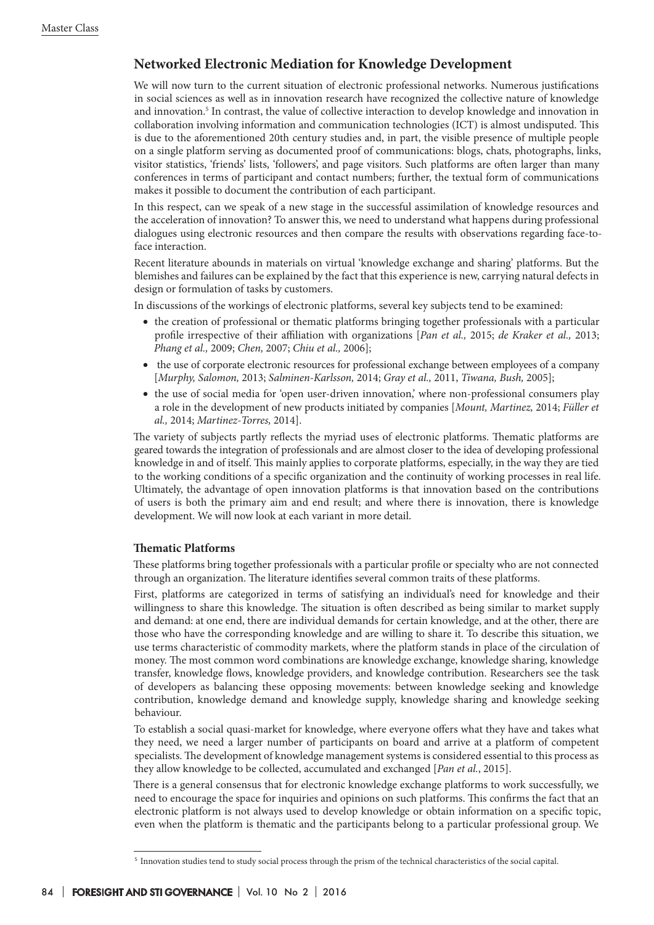# **Networked Electronic Mediation for Knowledge Development**

We will now turn to the current situation of electronic professional networks. Numerous justifications in social sciences as well as in innovation research have recognized the collective nature of knowledge and innovation.5 In contrast, the value of collective interaction to develop knowledge and innovation in collaboration involving information and communication technologies (ICT) is almost undisputed. This is due to the aforementioned 20th century studies and, in part, the visible presence of multiple people on a single platform serving as documented proof of communications: blogs, chats, photographs, links, visitor statistics, 'friends' lists, 'followers', and page visitors. Such platforms are often larger than many conferences in terms of participant and contact numbers; further, the textual form of communications makes it possible to document the contribution of each participant.

In this respect, can we speak of a new stage in the successful assimilation of knowledge resources and the acceleration of innovation? To answer this, we need to understand what happens during professional dialogues using electronic resources and then compare the results with observations regarding face-toface interaction.

Recent literature abounds in materials on virtual 'knowledge exchange and sharing' platforms. But the blemishes and failures can be explained by the fact that this experience is new, carrying natural defects in design or formulation of tasks by customers.

In discussions of the workings of electronic platforms, several key subjects tend to be examined:

- the creation of professional or thematic platforms bringing together professionals with a particular profile irrespective of their affiliation with organizations [*Pan et al.,* 2015; *de Kraker et al.,* 2013; *Phang et al.,* 2009; *Chen,* 2007; *Chiu et al.,* 2006];
- the use of corporate electronic resources for professional exchange between employees of a company [*Murphy, Salomon,* 2013; *Salminen-Karlsson,* 2014; *Gray et al.,* 2011, *Tiwana, Bush,* 2005];
- the use of social media for 'open user-driven innovation,' where non-professional consumers play a role in the development of new products initiated by companies [*Mount, Martinez,* 2014; *Füller et al.,* 2014; *Martinez-Torres,* 2014].

The variety of subjects partly reflects the myriad uses of electronic platforms. Thematic platforms are geared towards the integration of professionals and are almost closer to the idea of developing professional knowledge in and of itself. This mainly applies to corporate platforms, especially, in the way they are tied to the working conditions of a specific organization and the continuity of working processes in real life. Ultimately, the advantage of open innovation platforms is that innovation based on the contributions of users is both the primary aim and end result; and where there is innovation, there is knowledge development. We will now look at each variant in more detail.

#### **Thematic Platforms**

These platforms bring together professionals with a particular profile or specialty who are not connected through an organization. The literature identifies several common traits of these platforms.

First, platforms are categorized in terms of satisfying an individual's need for knowledge and their willingness to share this knowledge. The situation is often described as being similar to market supply and demand: at one end, there are individual demands for certain knowledge, and at the other, there are those who have the corresponding knowledge and are willing to share it. To describe this situation, we use terms characteristic of commodity markets, where the platform stands in place of the circulation of money. The most common word combinations are knowledge exchange, knowledge sharing, knowledge transfer, knowledge flows, knowledge providers, and knowledge contribution. Researchers see the task of developers as balancing these opposing movements: between knowledge seeking and knowledge contribution, knowledge demand and knowledge supply, knowledge sharing and knowledge seeking behaviour.

To establish a social quasi-market for knowledge, where everyone offers what they have and takes what they need, we need a larger number of participants on board and arrive at a platform of competent specialists. The development of knowledge management systems is considered essential to this process as they allow knowledge to be collected, accumulated and exchanged [*Pan et al.*, 2015].

There is a general consensus that for electronic knowledge exchange platforms to work successfully, we need to encourage the space for inquiries and opinions on such platforms. This confirms the fact that an electronic platform is not always used to develop knowledge or obtain information on a specific topic, even when the platform is thematic and the participants belong to a particular professional group. We

<sup>5</sup> Innovation studies tend to study social process through the prism of the technical characteristics of the social capital.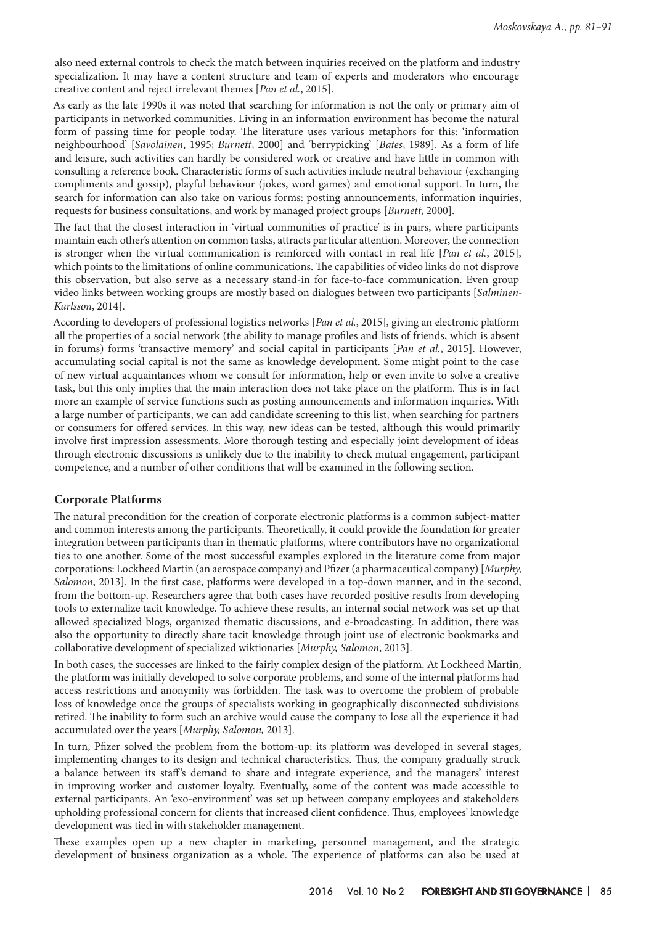also need external controls to check the match between inquiries received on the platform and industry specialization. It may have a content structure and team of experts and moderators who encourage creative content and reject irrelevant themes [*Pan et al.*, 2015].

As early as the late 1990s it was noted that searching for information is not the only or primary aim of participants in networked communities. Living in an information environment has become the natural form of passing time for people today. The literature uses various metaphors for this: 'information neighbourhood' [*Savolainen*, 1995; *Burnett*, 2000] and 'berrypicking' [*Bates*, 1989]. As a form of life and leisure, such activities can hardly be considered work or creative and have little in common with consulting a reference book. Characteristic forms of such activities include neutral behaviour (exchanging compliments and gossip), playful behaviour (jokes, word games) and emotional support. In turn, the search for information can also take on various forms: posting announcements, information inquiries, requests for business consultations, and work by managed project groups [*Burnett*, 2000].

The fact that the closest interaction in 'virtual communities of practice' is in pairs, where participants maintain each other's attention on common tasks, attracts particular attention. Moreover, the connection is stronger when the virtual communication is reinforced with contact in real life [*Pan et al.*, 2015], which points to the limitations of online communications. The capabilities of video links do not disprove this observation, but also serve as a necessary stand-in for face-to-face communication. Even group video links between working groups are mostly based on dialogues between two participants [*Salminen-Karlsson*, 2014].

According to developers of professional logistics networks [*Pan et al.*, 2015], giving an electronic platform all the properties of a social network (the ability to manage profiles and lists of friends, which is absent in forums) forms 'transactive memory' and social capital in participants [*Pan et al.*, 2015]. However, accumulating social capital is not the same as knowledge development. Some might point to the case of new virtual acquaintances whom we consult for information, help or even invite to solve a creative task, but this only implies that the main interaction does not take place on the platform. This is in fact more an example of service functions such as posting announcements and information inquiries. With a large number of participants, we can add candidate screening to this list, when searching for partners or consumers for offered services. In this way, new ideas can be tested, although this would primarily involve first impression assessments. More thorough testing and especially joint development of ideas through electronic discussions is unlikely due to the inability to check mutual engagement, participant competence, and a number of other conditions that will be examined in the following section.

#### **Corporate Platforms**

The natural precondition for the creation of corporate electronic platforms is a common subject-matter and common interests among the participants. Theoretically, it could provide the foundation for greater integration between participants than in thematic platforms, where contributors have no organizational ties to one another. Some of the most successful examples explored in the literature come from major corporations: Lockheеd Martin (an aerospace company) and Pfizer (a pharmaceutical company) [*Murphy, Salomon*, 2013]. In the first case, platforms were developed in a top-down manner, and in the second, from the bottom-up. Researchers agree that both cases have recorded positive results from developing tools to externalize tacit knowledge. To achieve these results, an internal social network was set up that allowed specialized blogs, organized thematic discussions, and e-broadcasting. In addition, there was also the opportunity to directly share tacit knowledge through joint use of electronic bookmarks and collaborative development of specialized wiktionaries [*Murphy, Salomon*, 2013].

In both cases, the successes are linked to the fairly complex design of the platform. At Lockheed Martin, the platform was initially developed to solve corporate problems, and some of the internal platforms had access restrictions and anonymity was forbidden. The task was to overcome the problem of probable loss of knowledge once the groups of specialists working in geographically disconnected subdivisions retired. The inability to form such an archive would cause the company to lose all the experience it had accumulated over the years [*Murphy, Salomon,* 2013].

In turn, Pfizer solved the problem from the bottom-up: its platform was developed in several stages, implementing changes to its design and technical characteristics. Thus, the company gradually struck a balance between its staff's demand to share and integrate experience, and the managers' interest in improving worker and customer loyalty. Eventually, some of the content was made accessible to external participants. An 'exo-environment' was set up between company employees and stakeholders upholding professional concern for clients that increased client confidence. Thus, employees' knowledge development was tied in with stakeholder management.

These examples open up a new chapter in marketing, personnel management, and the strategic development of business organization as a whole. The experience of platforms can also be used at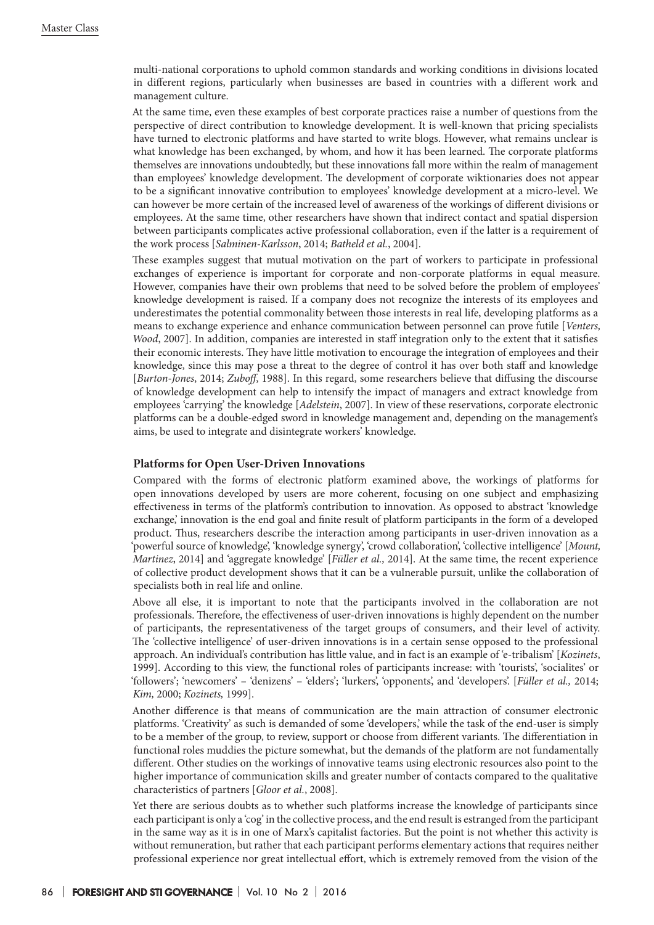multi-national corporations to uphold common standards and working conditions in divisions located in different regions, particularly when businesses are based in countries with a different work and management culture.

At the same time, even these examples of best corporate practices raise a number of questions from the perspective of direct contribution to knowledge development. It is well-known that pricing specialists have turned to electronic platforms and have started to write blogs. However, what remains unclear is what knowledge has been exchanged, by whom, and how it has been learned. The corporate platforms themselves are innovations undoubtedly, but these innovations fall more within the realm of management than employees' knowledge development. The development of corporate wiktionaries does not appear to be a significant innovative contribution to employees' knowledge development at a micro-level. We can however be more certain of the increased level of awareness of the workings of different divisions or employees. At the same time, other researchers have shown that indirect contact and spatial dispersion between participants complicates active professional collaboration, even if the latter is a requirement of the work process [*Salminen-Karlsson*, 2014; *Batheld et al.*, 2004].

These examples suggest that mutual motivation on the part of workers to participate in professional exchanges of experience is important for corporate and non-corporate platforms in equal measure. However, companies have their own problems that need to be solved before the problem of employees' knowledge development is raised. If a company does not recognize the interests of its employees and underestimates the potential commonality between those interests in real life, developing platforms as a means to exchange experience and enhance communication between personnel can prove futile [*Venters, Wood*, 2007]. In addition, companies are interested in staff integration only to the extent that it satisfies their economic interests. They have little motivation to encourage the integration of employees and their knowledge, since this may pose a threat to the degree of control it has over both staff and knowledge [*Burton-Jones*, 2014; *Zuboff*, 1988]. In this regard, some researchers believe that diffusing the discourse of knowledge development can help to intensify the impact of managers and extract knowledge from employees 'carrying' the knowledge [*Adelstein*, 2007]. In view of these reservations, corporate electronic platforms can be a double-edged sword in knowledge management and, depending on the management's aims, be used to integrate and disintegrate workers' knowledge.

#### **Platforms for Open User-Driven Innovations**

Compared with the forms of electronic platform examined above, the workings of platforms for open innovations developed by users are more coherent, focusing on one subject and emphasizing effectiveness in terms of the platform's contribution to innovation. As opposed to abstract 'knowledge exchange,' innovation is the end goal and finite result of platform participants in the form of a developed product. Thus, researchers describe the interaction among participants in user-driven innovation as a 'powerful source of knowledge', 'knowledge synergy', 'crowd collaboration', 'collective intelligence' [*Mount, Martinez*, 2014] and 'aggregate knowledge' [*Füller et al.,* 2014]. At the same time, the recent experience of collective product development shows that it can be a vulnerable pursuit, unlike the collaboration of specialists both in real life and online.

Above all else, it is important to note that the participants involved in the collaboration are not professionals. Therefore, the effectiveness of user-driven innovations is highly dependent on the number of participants, the representativeness of the target groups of consumers, and their level of activity. The 'collective intelligence' of user-driven innovations is in a certain sense opposed to the professional approach. An individual's contribution has little value, and in fact is an example of 'e-tribalism' [*Kozinets*, 1999]. According to this view, the functional roles of participants increase: with 'tourists', 'socialites' or 'followers'; 'newcomers' – 'denizens' – 'elders'; 'lurkers', 'opponents', and 'developers'. [*Füller et al.,* 2014; *Kim,* 2000; *Kozinets,* 1999].

Another difference is that means of communication are the main attraction of consumer electronic platforms. 'Creativity' as such is demanded of some 'developers,' while the task of the end-user is simply to be a member of the group, to review, support or choose from different variants. The differentiation in functional roles muddies the picture somewhat, but the demands of the platform are not fundamentally different. Other studies on the workings of innovative teams using electronic resources also point to the higher importance of communication skills and greater number of contacts compared to the qualitative characteristics of partners [*Gloor et al.*, 2008].

Yet there are serious doubts as to whether such platforms increase the knowledge of participants since each participant is only a 'cog' in the collective process, and the end result is estranged from the participant in the same way as it is in one of Marx's capitalist factories. But the point is not whether this activity is without remuneration, but rather that each participant performs elementary actions that requires neither professional experience nor great intellectual effort, which is extremely removed from the vision of the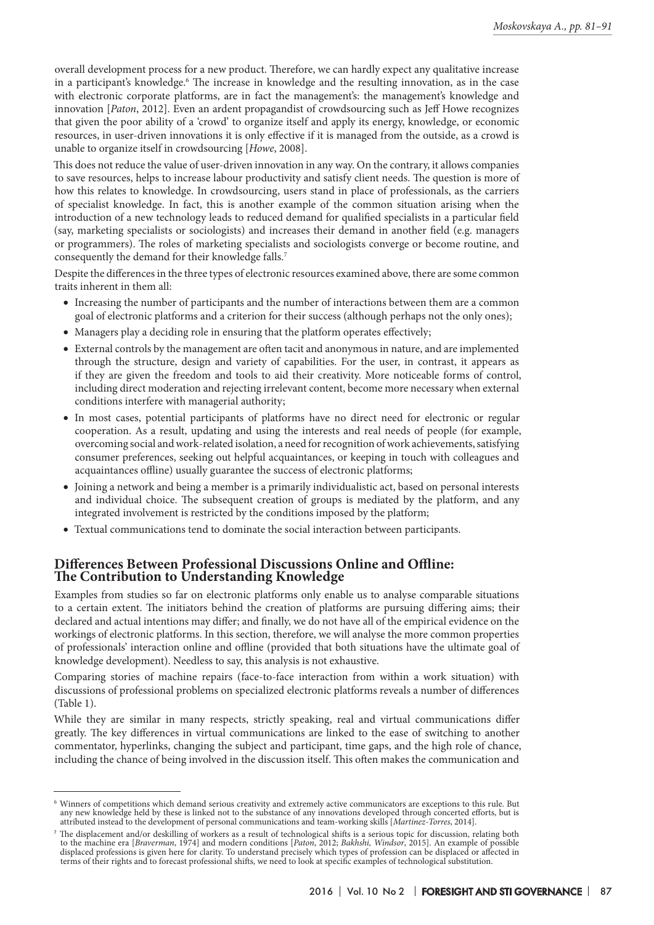overall development process for a new product. Therefore, we can hardly expect any qualitative increase in a participant's knowledge.<sup>6</sup> The increase in knowledge and the resulting innovation, as in the case with electronic corporate platforms, are in fact the management's: the management's knowledge and innovation [*Paton*, 2012]. Even an ardent propagandist of crowdsourcing such as Jeff Howe recognizes that given the poor ability of a 'crowd' to organize itself and apply its energy, knowledge, or economic resources, in user-driven innovations it is only effective if it is managed from the outside, as a crowd is unable to organize itself in crowdsourcing [*Howe*, 2008].

This does not reduce the value of user-driven innovation in any way. On the contrary, it allows companies to save resources, helps to increase labour productivity and satisfy client needs. The question is more of how this relates to knowledge. In crowdsourcing, users stand in place of professionals, as the carriers of specialist knowledge. In fact, this is another example of the common situation arising when the introduction of a new technology leads to reduced demand for qualified specialists in a particular field (say, marketing specialists or sociologists) and increases their demand in another field (e.g. managers or programmers). The roles of marketing specialists and sociologists converge or become routine, and consequently the demand for their knowledge falls.7

Despite the differences in the three types of electronic resources examined above, there are some common traits inherent in them all:

- • Increasing the number of participants and the number of interactions between them are a common goal of electronic platforms and a criterion for their success (although perhaps not the only ones);
- Managers play a deciding role in ensuring that the platform operates effectively;
- • External controls by the management are often tacit and anonymous in nature, and are implemented through the structure, design and variety of capabilities. For the user, in contrast, it appears as if they are given the freedom and tools to aid their creativity. More noticeable forms of control, including direct moderation and rejecting irrelevant content, become more necessary when external conditions interfere with managerial authority;
- In most cases, potential participants of platforms have no direct need for electronic or regular cooperation. As a result, updating and using the interests and real needs of people (for example, overcoming social and work-related isolation, a need for recognition of work achievements, satisfying consumer preferences, seeking out helpful acquaintances, or keeping in touch with colleagues and acquaintances offline) usually guarantee the success of electronic platforms;
- • Joining a network and being a member is a primarily individualistic act, based on personal interests and individual choice. The subsequent creation of groups is mediated by the platform, and any integrated involvement is restricted by the conditions imposed by the platform;
- • Textual communications tend to dominate the social interaction between participants.

## **Differences Between Professional Discussions Online and Offline: The Contribution to Understanding Knowledge**

Examples from studies so far on electronic platforms only enable us to analyse comparable situations to a certain extent. The initiators behind the creation of platforms are pursuing differing aims; their declared and actual intentions may differ; and finally, we do not have all of the empirical evidence on the workings of electronic platforms. In this section, therefore, we will analyse the more common properties of professionals' interaction online and offline (provided that both situations have the ultimate goal of knowledge development). Needless to say, this analysis is not exhaustive.

Comparing stories of machine repairs (face-to-face interaction from within a work situation) with discussions of professional problems on specialized electronic platforms reveals a number of differences (Table 1).

While they are similar in many respects, strictly speaking, real and virtual communications differ greatly. The key differences in virtual communications are linked to the ease of switching to another commentator, hyperlinks, changing the subject and participant, time gaps, and the high role of chance, including the chance of being involved in the discussion itself. This often makes the communication and

<sup>6</sup> Winners of competitions which demand serious creativity and extremely active communicators are exceptions to this rule. But any new knowledge held by these is linked not to the substance of any innovations developed through concerted efforts, but is attributed instead to the development of personal communications and team-working skills [*Martinez-Torres*, 2014].

<sup>7</sup> The displacement and/or deskilling of workers as a result of technological shifts is a serious topic for discussion, relating both to the machine era [*Braverman*, 1974] and modern conditions [*Paton*, 2012; *Bakhshi, Windsor*, 2015]. An example of possible displaced professions is given here for clarity. To understand precisely which types of profession can be displaced or affected in terms of their rights and to forecast professional shifts, we need to look at specific examples of technological substitution.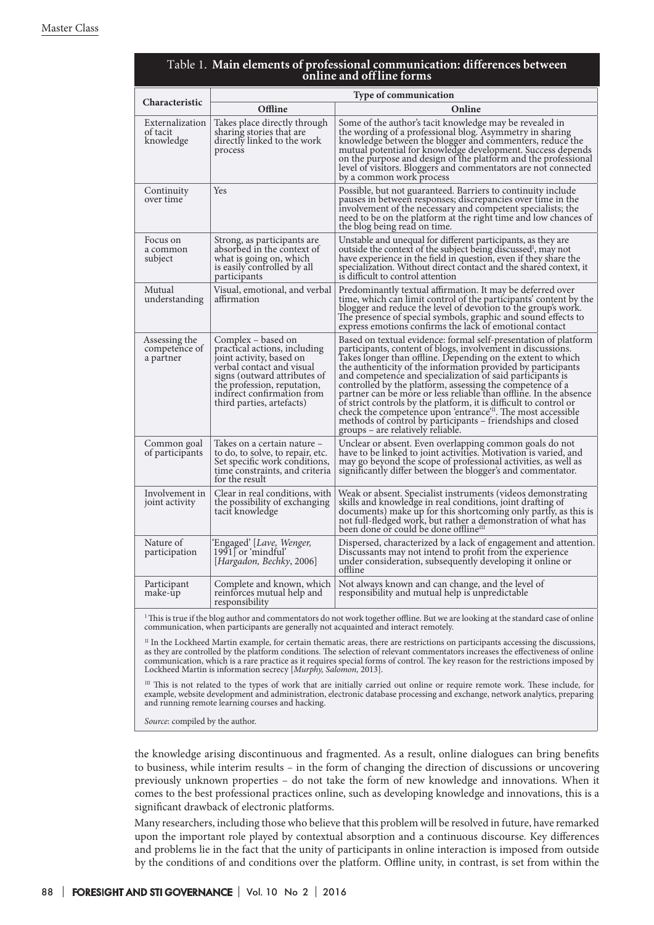| online and off line forms                                                                                                                                                                                                |                                                                                                                                                                                                                                       |                                                                                                                                                                                                                                                                                                                                                                                                                                                                                                                                                                                                                                                                                                                   |
|--------------------------------------------------------------------------------------------------------------------------------------------------------------------------------------------------------------------------|---------------------------------------------------------------------------------------------------------------------------------------------------------------------------------------------------------------------------------------|-------------------------------------------------------------------------------------------------------------------------------------------------------------------------------------------------------------------------------------------------------------------------------------------------------------------------------------------------------------------------------------------------------------------------------------------------------------------------------------------------------------------------------------------------------------------------------------------------------------------------------------------------------------------------------------------------------------------|
| Characteristic                                                                                                                                                                                                           | <b>Type of communication</b>                                                                                                                                                                                                          |                                                                                                                                                                                                                                                                                                                                                                                                                                                                                                                                                                                                                                                                                                                   |
|                                                                                                                                                                                                                          | Offline                                                                                                                                                                                                                               | Online                                                                                                                                                                                                                                                                                                                                                                                                                                                                                                                                                                                                                                                                                                            |
| Externalization<br>of tacit<br>knowledge                                                                                                                                                                                 | Takes place directly through<br>sharing stories that are<br>directly linked to the work<br>process                                                                                                                                    | Some of the author's tacit knowledge may be revealed in<br>the wording of a professional blog. Asymmetry in sharing<br>knowledge between the blogger and commenters, reduce the<br>mutual potential for knowledge development. Success depends<br>on the purpose and design of the platform and the professional<br>level of visitors. Bloggers and commentators are not connected<br>by a common work process                                                                                                                                                                                                                                                                                                    |
| Continuity<br>over time                                                                                                                                                                                                  | <b>Yes</b>                                                                                                                                                                                                                            | Possible, but not guaranteed. Barriers to continuity include<br>pauses in between responses; discrepancies over time in the<br>involvement of the necessary and competent specialists; the<br>need to be on the platform at the right time and low chances of<br>the blog being read on time.                                                                                                                                                                                                                                                                                                                                                                                                                     |
| Focus on<br>a common<br>subject                                                                                                                                                                                          | Strong, as participants are<br>absorbed in the context of<br>what is going on, which<br>is easily controlled by all<br>participants                                                                                                   | Unstable and unequal for different participants, as they are<br>outside the context of the subject being discussed <sup>1</sup> , may not<br>have experience in the field in question, even if they share the<br>specialization. Without direct contact and the shared context, it<br>is difficult to control attention                                                                                                                                                                                                                                                                                                                                                                                           |
| Mutual<br>understanding                                                                                                                                                                                                  | Visual, emotional, and verbal<br>affirmation                                                                                                                                                                                          | Predominantly textual affirmation. It may be deferred over<br>time, which can limit control of the participants' content by the<br>blogger and reduce the level of devotion to the group's work.<br>The presence of special symbols, graphic and sound effects to<br>express emotions confirms the lack of emotional contact                                                                                                                                                                                                                                                                                                                                                                                      |
| Assessing the<br>competence of<br>a partner                                                                                                                                                                              | Complex – based on<br>practical actions, including<br>joint activity, based on<br>verbal contact and visual<br>signs (outward attributes of<br>the profession, reputation,<br>indirect confirmation from<br>third parties, artefacts) | Based on textual evidence: formal self-presentation of platform<br>participants, content of blogs, involvement in discussions.<br>Takes longer than offline. Depending on the extent to which<br>the authenticity of the information provided by participants<br>and competence and specialization of said participants is<br>controlled by the platform, assessing the competence of a<br>partner can be more or less reliable than offline. In the absence<br>of strict controls by the platform, it is difficult to control or<br>check the competence upon 'entrance' <sup>11</sup> . The most accessible<br>methods of control by participants – friendships and closed<br>groups – are relatively reliable. |
| Common goal<br>of participants                                                                                                                                                                                           | Takes on a certain nature –<br>to do, to solve, to repair, etc.<br>Set specific work conditions,<br>time constraints, and criteria<br>for the result                                                                                  | Unclear or absent. Even overlapping common goals do not<br>have to be linked to joint activities. Motivation is varied, and<br>may go beyond the scope of professional activities, as well as<br>significantly differ between the blogger's and commentator.                                                                                                                                                                                                                                                                                                                                                                                                                                                      |
| Involvement in<br>joint activity                                                                                                                                                                                         | Clear in real conditions, with<br>the possibility of exchanging<br>tacit knowledge                                                                                                                                                    | Weak or absent. Specialist instruments (videos demonstrating<br>skills and knowledge in real conditions, joint drafting of<br>documents) make up for this shortcoming only partly, as this is<br>not full-fledged work, but rather a demonstration of what has<br>been done or could be done offline <sup>III</sup>                                                                                                                                                                                                                                                                                                                                                                                               |
| Nature of<br>participation                                                                                                                                                                                               | Engaged' [ <i>Lave, Wenger,</i><br>$1991$ or 'mindful'<br>[Hargadon, Bechky, 2006]                                                                                                                                                    | Dispersed, characterized by a lack of engagement and attention.<br>Discussants may not intend to profit from the experience<br>under consideration, subsequently developing it online or<br>offline                                                                                                                                                                                                                                                                                                                                                                                                                                                                                                               |
| Participant<br>make-up                                                                                                                                                                                                   | Complete and known, which<br>reinforces mutual help and<br>responsibility                                                                                                                                                             | Not always known and can change, and the level of<br>responsibility and mutual help is unpredictable                                                                                                                                                                                                                                                                                                                                                                                                                                                                                                                                                                                                              |
| This is true if the blog author and commentators do not work together offline. But we are looking at the standard case of online<br>communication, when participants are generally not acquainted and interact remotely. |                                                                                                                                                                                                                                       |                                                                                                                                                                                                                                                                                                                                                                                                                                                                                                                                                                                                                                                                                                                   |

# Table 1. Main elements of professional communication: differences between

 $^{\text{\tiny{II}}}$  In the Lockheed Martin example, for certain thematic areas, there are restrictions on participants accessing the discussions, as they are controlled by the platform conditions. The selection of relevant commentators increases the effectiveness of online communication, which is a rare practice as it requires special forms of control. The key reason for the restrictions imposed by

Lockheed Martin is information secrecy [*Murphy, Salomon,* 2013]. III This is not related to the types of work that are initially carried out online or require remote work. These include, for example, website development and administration, electronic database processing and exchange, network analytics, preparing and running remote learning courses and hacking.

*Source*: compiled by the author.

the knowledge arising discontinuous and fragmented. As a result, online dialogues can bring benefits to business, while interim results – in the form of changing the direction of discussions or uncovering previously unknown properties – do not take the form of new knowledge and innovations. When it comes to the best professional practices online, such as developing knowledge and innovations, this is a significant drawback of electronic platforms.

Many researchers, including those who believe that this problem will be resolved in future, have remarked upon the important role played by contextual absorption and a continuous discourse. Key differences and problems lie in the fact that the unity of participants in online interaction is imposed from outside by the conditions of and conditions over the platform. Offline unity, in contrast, is set from within the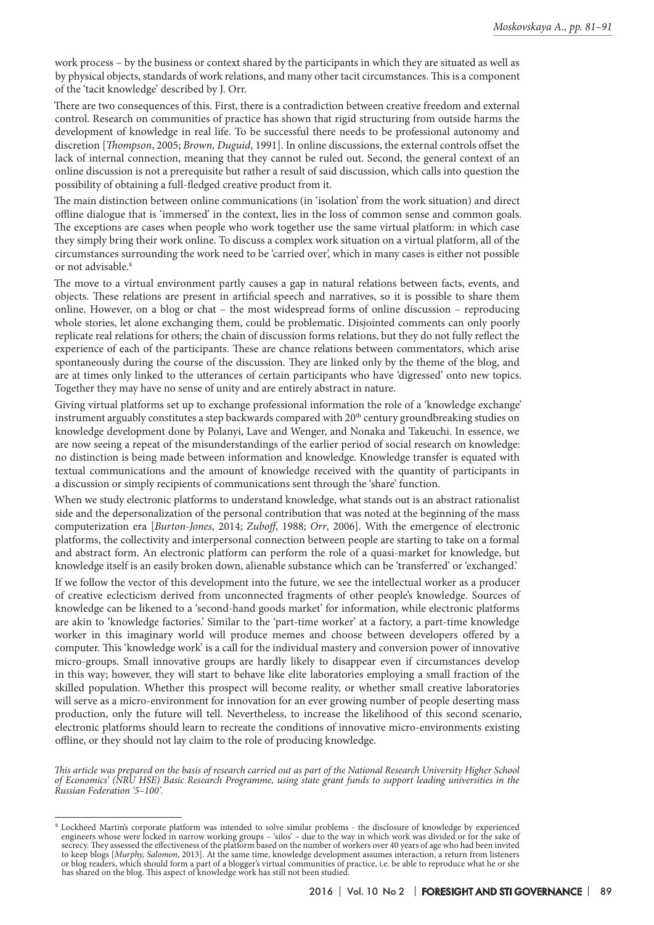work process – by the business or context shared by the participants in which they are situated as well as by physical objects, standards of work relations, and many other tacit circumstances. This is a component of the 'tacit knowledge' described by J. Orr.

There are two consequences of this. First, there is a contradiction between creative freedom and external control. Research on communities of practice has shown that rigid structuring from outside harms the development of knowledge in real life. To be successful there needs to be professional autonomy and discretion [*Thompson*, 2005; *Brown, Duguid*, 1991]. In online discussions, the external controls offset the lack of internal connection, meaning that they cannot be ruled out. Second, the general context of an online discussion is not a prerequisite but rather a result of said discussion, which calls into question the possibility of obtaining a full-fledged creative product from it.

The main distinction between online communications (in 'isolation' from the work situation) and direct offline dialogue that is 'immersed' in the context, lies in the loss of common sense and common goals. The exceptions are cases when people who work together use the same virtual platform: in which case they simply bring their work online. To discuss a complex work situation on a virtual platform, all of the circumstances surrounding the work need to be 'carried over', which in many cases is either not possible or not advisable.<sup>8</sup>

The move to a virtual environment partly causes a gap in natural relations between facts, events, and objects. These relations are present in artificial speech and narratives, so it is possible to share them online. However, on a blog or chat – the most widespread forms of online discussion – reproducing whole stories, let alone exchanging them, could be problematic. Disjointed comments can only poorly replicate real relations for others; the chain of discussion forms relations, but they do not fully reflect the experience of each of the participants. These are chance relations between commentators, which arise spontaneously during the course of the discussion. They are linked only by the theme of the blog, and are at times only linked to the utterances of certain participants who have 'digressed' onto new topics. Together they may have no sense of unity and are entirely abstract in nature.

Giving virtual platforms set up to exchange professional information the role of a 'knowledge exchange' instrument arguably constitutes a step backwards compared with  $20<sup>th</sup>$  century groundbreaking studies on knowledge development done by Polanyi, Lave and Wenger, and Nonaka and Takeuchi. In essence, we are now seeing a repeat of the misunderstandings of the earlier period of social research on knowledge: no distinction is being made between information and knowledge. Knowledge transfer is equated with textual communications and the amount of knowledge received with the quantity of participants in a discussion or simply recipients of communications sent through the 'share' function.

When we study electronic platforms to understand knowledge, what stands out is an abstract rationalist side and the depersonalization of the personal contribution that was noted at the beginning of the mass computerization era [*Burton-Jones*, 2014; *Zuboff*, 1988; *Orr*, 2006]. With the emergence of electronic platforms, the collectivity and interpersonal connection between people are starting to take on a formal and abstract form. An electronic platform can perform the role of a quasi-market for knowledge, but knowledge itself is an easily broken down, alienable substance which can be 'transferred' or 'exchanged.'

If we follow the vector of this development into the future, we see the intellectual worker as a producer of creative eclecticism derived from unconnected fragments of other people's knowledge. Sources of knowledge can be likened to a 'second-hand goods market' for information, while electronic platforms are akin to 'knowledge factories.' Similar to the 'part-time worker' at a factory, a part-time knowledge worker in this imaginary world will produce memes and choose between developers offered by a computer. This 'knowledge work' is a call for the individual mastery and conversion power of innovative micro-groups. Small innovative groups are hardly likely to disappear even if circumstances develop in this way; however, they will start to behave like elite laboratories employing a small fraction of the skilled population. Whether this prospect will become reality, or whether small creative laboratories will serve as a micro-environment for innovation for an ever growing number of people deserting mass production, only the future will tell. Nevertheless, to increase the likelihood of this second scenario, electronic platforms should learn to recreate the conditions of innovative micro-environments existing offline, or they should not lay claim to the role of producing knowledge.

*This article was prepared on the basis of research carried out as part of the National Research University Higher School of Economics' (NRU HSE) Basic Research Programme, using state grant funds to support leading universities in the Russian Federation '5–100'.*

<sup>8</sup> Lockheed Martin's corporate platform was intended to solve similar problems - the disclosure of knowledge by experienced engineers whose were locked in narrow working groups – 'silos' – due to the way in which work was divided or for the sake of secrecy. They assessed the effectiveness of the platform based on the number of workers over 40 years of age who had been invited to keep blogs [*Murphy, Salomon*, 2013]. At the same time, knowledge development assumes interaction, a return from listeners or blog readers, which should form a part of a blogger's virtual communities of practice, i.e. be able to reproduce what he or she has shared on the blog. This aspect of knowledge work has still not been studied.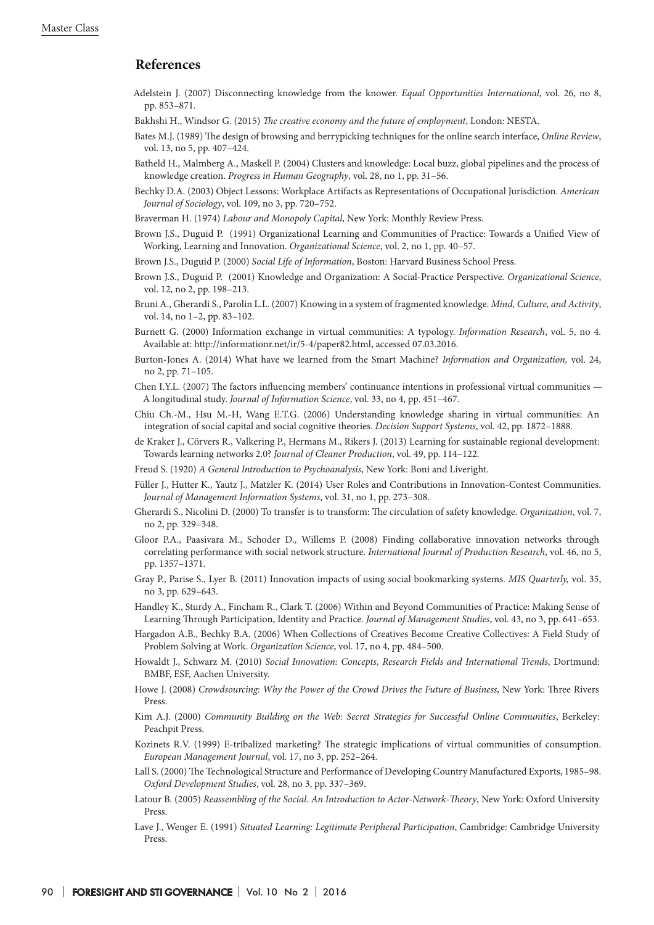## **References**

- Adelstein J. (2007) Disconnecting knowledge from the knower. *Equal Opportunities International*, vol. 26, no 8, pp. 853–871.
- Bakhshi H., Windsor G. (2015) *The creative economy and the future of employment*, London: NESTA.
- Bates M.J. (1989) The design of browsing and berrypicking techniques for the online search interface, *Online Review*, vol. 13, no 5, pp. 407–424.
- Batheld H., Malmberg A., Maskell P. (2004) Clusters and knowledge: Local buzz, global pipelines and the process of knowledge creation. *Progress in Human Geography*, vol. 28, no 1, pp. 31–56.
- Bechky D.A. (2003) Object Lessons: Workplace Artifacts as Representations of Occupational Jurisdiction. *American Journal of Sociology*, vol. 109, no 3, pp. 720–752.
- Braverman H. (1974) *Labour and Monopoly Capital*, New York: Monthly Review Press.
- Brown J.S., Duguid P. (1991) Organizational Learning and Communities of Practice: Towards a Unified View of Working, Learning and Innovation. *Organizational Science*, vol. 2, no 1, pp. 40–57.
- Brown J.S., Duguid P. (2000) *Social Life of Information*, Boston: Harvard Business School Press.
- Brown J.S., Duguid P. (2001) Knowledge and Organization: A Social-Practice Perspective. *Organizational Science*, vol. 12, no 2, pp. 198–213.
- Bruni A., Gherardi S., Parolin L.L. (2007) Knowing in a system of fragmented knowledge. *Mind, Culture, and Activity*, vol. 14, no 1–2, pp. 83–102.
- Burnett G. (2000) Information exchange in virtual communities: A typology. *Information Research*, vol. 5, no 4. Available at: http://informationr.net/ir/5-4/paper82.html, accessed 07.03.2016.
- Burton-Jones A. (2014) What have we learned from the Smart Machine? *Information and Organization,* vol. 24, no 2, pp. 71–105.
- Chen I.Y.L. (2007) The factors influencing members' continuance intentions in professional virtual communities A longitudinal study. *Journal of Information Science*, vol. 33, no 4, pp. 451–467.
- Chiu Ch.-M., Hsu M.-H, Wang E.T.G. (2006) Understanding knowledge sharing in virtual communities: An integration of social capital and social cognitive theories. *Decision Support Systems*, vol. 42, pp. 1872–1888.
- de Kraker J., Cörvers R., Valkering P., Hermans M., Rikers J. (2013) Learning for sustainable regional development: Towards learning networks 2.0? *Journal of Cleaner Production*, vol. 49, pp. 114–122.
- Freud S. (1920) *A General Introduction to Psychoanalysis*, New York: Boni and Liveright.
- Füller J., Hutter K., Yautz J., Matzler K. (2014) User Roles and Contributions in Innovation-Contest Communities. *Journal of Management Information Systems*, vol. 31, no 1, pp. 273–308.
- Gherardi S., Nicolini D. (2000) To transfer is to transform: The circulation of safety knowledge. *Organization*, vol. 7, no 2, pp. 329–348.
- Gloor P.A., Paasivara M., Schoder D., Willems P. (2008) Finding collaborative innovation networks through correlating performance with social network structure. *International Journal of Production Research*, vol. 46, no 5, pp. 1357–1371.
- Gray P., Parise S., Lyer B. (2011) Innovation impacts of using social bookmarking systems. *MIS Quarterly,* vol. 35, no 3, pp. 629–643.
- Handley K., Sturdy A., Fincham R., Clark T. (2006) Within and Beyond Communities of Practice: Making Sense of Learning Through Participation, Identity and Practice. *Journal of Management Studies*, vol. 43, no 3, pp. 641–653.
- Hargadon A.B., Bechky B.A. (2006) When Collections of Creatives Become Creative Collectives: A Field Study of Problem Solving at Work. *Organization Science*, vol. 17, no 4, pp. 484–500.
- Howaldt J., Schwarz M. (2010) *Social Innovation: Concepts, Research Fields and International Trends*, Dortmund: BMBF, ESF, Aachen University.
- Howe J. (2008) *Crowdsourcing: Why the Power of the Crowd Drives the Future of Business*, New York: Three Rivers Press.
- Kim A.J. (2000) *Community Building on the Web: Secret Strategies for Successful Online Communities*, Berkeley: Peachpit Press.
- Kozinets R.V. (1999) E-tribalized marketing? The strategic implications of virtual communities of consumption. *European Management Journal*, vol. 17, no 3, pp. 252–264.
- Lall S. (2000) The Technological Structure and Performance of Developing Country Manufactured Exports, 1985–98. *Oxford Development Studies*, vol. 28, no 3, pp. 337–369.
- Latour B. (2005) *Reassembling of the Social. An Introduction to Actor-Network-Theory*, New York: Oxford University Press.
- Lave J., Wenger E. (1991) *Situated Learning: Legitimate Peripheral Participation*, Cambridge: Cambridge University Press.